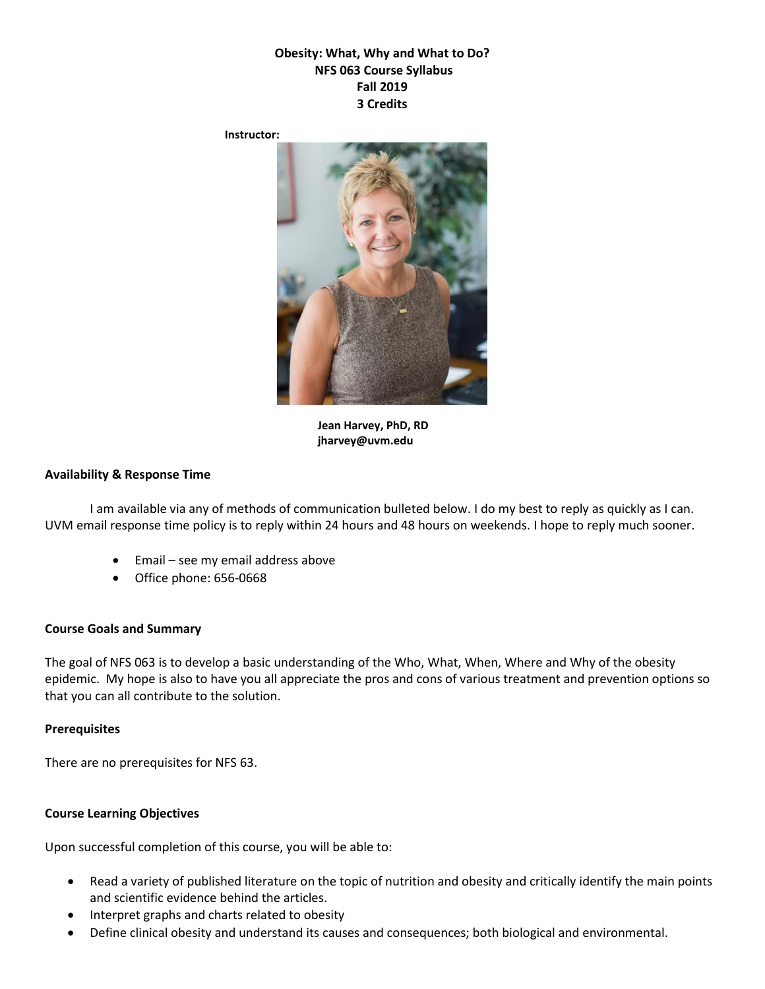# **Obesity: What, Why and What to Do? NFS 063 Course Syllabus Fall 2019 3 Credits**

**Instructor:**



**Jean Harvey, PhD, RD jharvey@uvm.edu**

#### **Availability & Response Time**

I am available via any of methods of communication bulleted below. I do my best to reply as quickly as I can. UVM email response time policy is to reply within 24 hours and 48 hours on weekends. I hope to reply much sooner.

- Email see my email address above
- Office phone: 656-0668

#### **Course Goals and Summary**

The goal of NFS 063 is to develop a basic understanding of the Who, What, When, Where and Why of the obesity epidemic. My hope is also to have you all appreciate the pros and cons of various treatment and prevention options so that you can all contribute to the solution.

#### **Prerequisites**

There are no prerequisites for NFS 63.

#### **Course Learning Objectives**

Upon successful completion of this course, you will be able to:

- Read a variety of published literature on the topic of nutrition and obesity and critically identify the main points and scientific evidence behind the articles.
- Interpret graphs and charts related to obesity
- Define clinical obesity and understand its causes and consequences; both biological and environmental.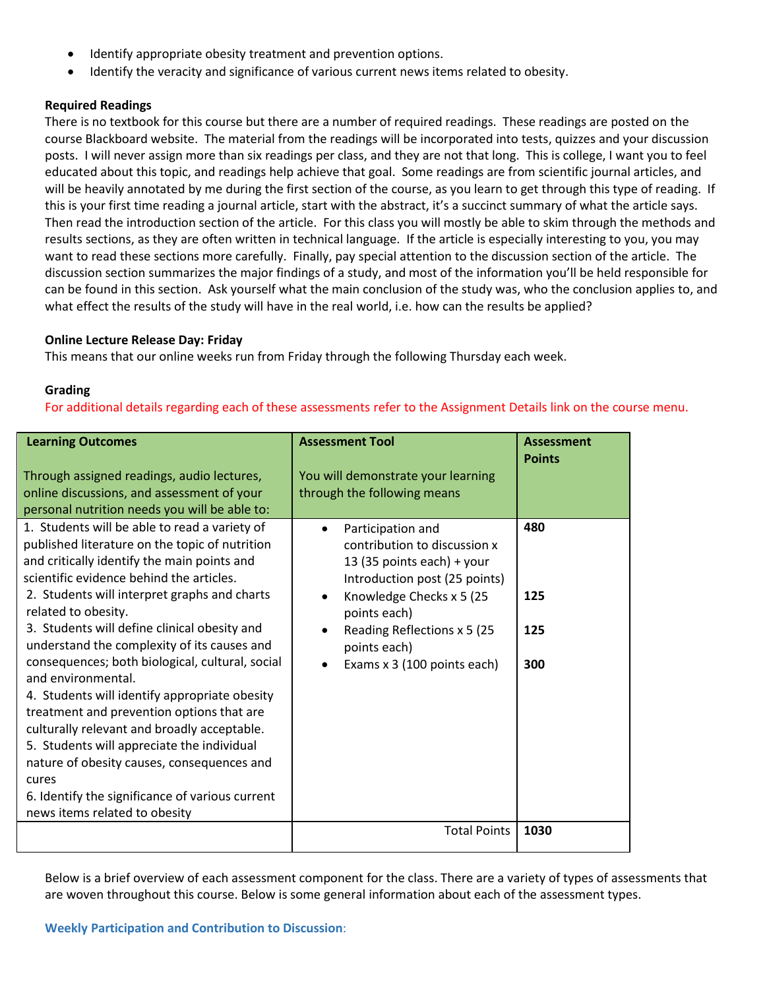- Identify appropriate obesity treatment and prevention options.
- Identify the veracity and significance of various current news items related to obesity.

### **Required Readings**

There is no textbook for this course but there are a number of required readings. These readings are posted on the course Blackboard website. The material from the readings will be incorporated into tests, quizzes and your discussion posts. I will never assign more than six readings per class, and they are not that long. This is college, I want you to feel educated about this topic, and readings help achieve that goal. Some readings are from scientific journal articles, and will be heavily annotated by me during the first section of the course, as you learn to get through this type of reading. If this is your first time reading a journal article, start with the abstract, it's a succinct summary of what the article says. Then read the introduction section of the article. For this class you will mostly be able to skim through the methods and results sections, as they are often written in technical language. If the article is especially interesting to you, you may want to read these sections more carefully. Finally, pay special attention to the discussion section of the article. The discussion section summarizes the major findings of a study, and most of the information you'll be held responsible for can be found in this section. Ask yourself what the main conclusion of the study was, who the conclusion applies to, and what effect the results of the study will have in the real world, i.e. how can the results be applied?

### **Online Lecture Release Day: Friday**

This means that our online weeks run from Friday through the following Thursday each week.

### **Grading**

For additional details regarding each of these assessments refer to the Assignment Details link on the course menu.

| <b>Learning Outcomes</b><br>Through assigned readings, audio lectures,                                                                                                                                                                                                                                                                                                                                                                                                                                                                                                                                                                                                             | <b>Assessment Tool</b><br>You will demonstrate your learning                                                                                                                                                                                                                        | <b>Assessment</b><br><b>Points</b> |
|------------------------------------------------------------------------------------------------------------------------------------------------------------------------------------------------------------------------------------------------------------------------------------------------------------------------------------------------------------------------------------------------------------------------------------------------------------------------------------------------------------------------------------------------------------------------------------------------------------------------------------------------------------------------------------|-------------------------------------------------------------------------------------------------------------------------------------------------------------------------------------------------------------------------------------------------------------------------------------|------------------------------------|
| online discussions, and assessment of your                                                                                                                                                                                                                                                                                                                                                                                                                                                                                                                                                                                                                                         | through the following means                                                                                                                                                                                                                                                         |                                    |
|                                                                                                                                                                                                                                                                                                                                                                                                                                                                                                                                                                                                                                                                                    |                                                                                                                                                                                                                                                                                     |                                    |
| personal nutrition needs you will be able to:                                                                                                                                                                                                                                                                                                                                                                                                                                                                                                                                                                                                                                      |                                                                                                                                                                                                                                                                                     |                                    |
| 1. Students will be able to read a variety of<br>published literature on the topic of nutrition<br>and critically identify the main points and<br>scientific evidence behind the articles.<br>2. Students will interpret graphs and charts<br>related to obesity.<br>3. Students will define clinical obesity and<br>understand the complexity of its causes and<br>consequences; both biological, cultural, social<br>and environmental.<br>4. Students will identify appropriate obesity<br>treatment and prevention options that are<br>culturally relevant and broadly acceptable.<br>5. Students will appreciate the individual<br>nature of obesity causes, consequences and | Participation and<br>$\bullet$<br>contribution to discussion x<br>13 (35 points each) + your<br>Introduction post (25 points)<br>Knowledge Checks x 5 (25)<br>$\bullet$<br>points each)<br>Reading Reflections x 5 (25)<br>$\bullet$<br>points each)<br>Exams x 3 (100 points each) | 480<br>125<br>125<br>300           |
| cures                                                                                                                                                                                                                                                                                                                                                                                                                                                                                                                                                                                                                                                                              |                                                                                                                                                                                                                                                                                     |                                    |
| 6. Identify the significance of various current                                                                                                                                                                                                                                                                                                                                                                                                                                                                                                                                                                                                                                    |                                                                                                                                                                                                                                                                                     |                                    |
| news items related to obesity                                                                                                                                                                                                                                                                                                                                                                                                                                                                                                                                                                                                                                                      |                                                                                                                                                                                                                                                                                     |                                    |
|                                                                                                                                                                                                                                                                                                                                                                                                                                                                                                                                                                                                                                                                                    | <b>Total Points</b>                                                                                                                                                                                                                                                                 | 1030                               |
|                                                                                                                                                                                                                                                                                                                                                                                                                                                                                                                                                                                                                                                                                    |                                                                                                                                                                                                                                                                                     |                                    |

Below is a brief overview of each assessment component for the class. There are a variety of types of assessments that are woven throughout this course. Below is some general information about each of the assessment types.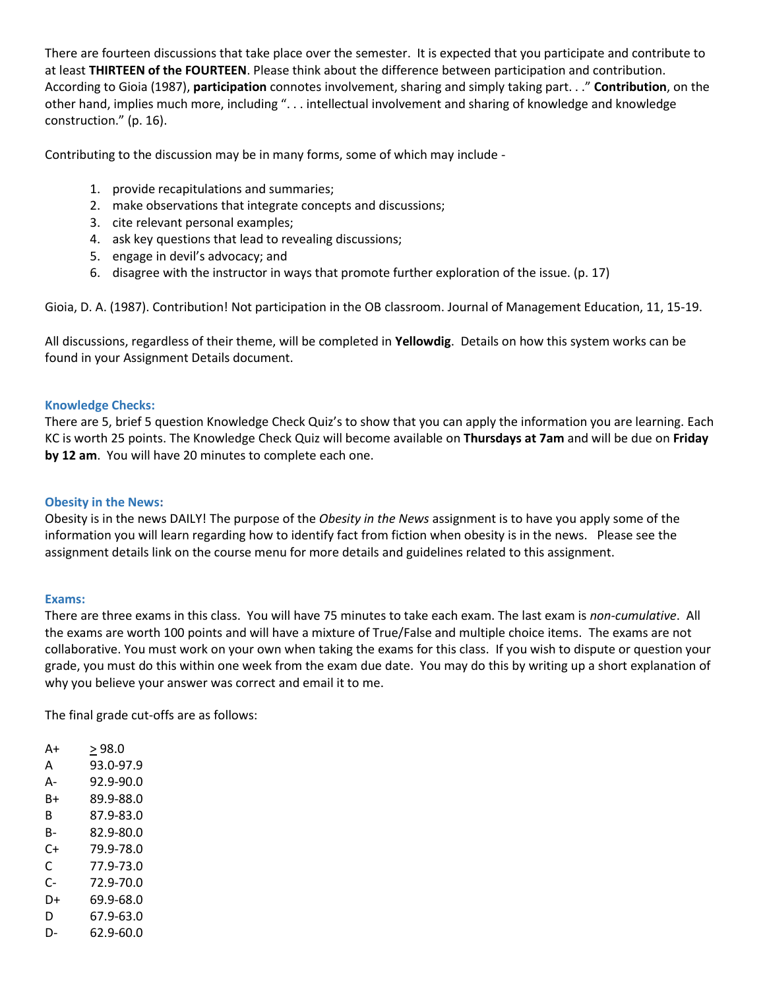There are fourteen discussions that take place over the semester. It is expected that you participate and contribute to at least **THIRTEEN of the FOURTEEN**. Please think about the difference between participation and contribution. According to Gioia (1987), **participation** connotes involvement, sharing and simply taking part. . ." **Contribution**, on the other hand, implies much more, including ". . . intellectual involvement and sharing of knowledge and knowledge construction." (p. 16).

Contributing to the discussion may be in many forms, some of which may include -

- 1. provide recapitulations and summaries;
- 2. make observations that integrate concepts and discussions;
- 3. cite relevant personal examples;
- 4. ask key questions that lead to revealing discussions;
- 5. engage in devil's advocacy; and
- 6. disagree with the instructor in ways that promote further exploration of the issue. (p. 17)

Gioia, D. A. (1987). Contribution! Not participation in the OB classroom. Journal of Management Education, 11, 15-19.

All discussions, regardless of their theme, will be completed in **Yellowdig**. Details on how this system works can be found in your Assignment Details document.

### **Knowledge Checks:**

There are 5, brief 5 question Knowledge Check Quiz's to show that you can apply the information you are learning. Each KC is worth 25 points. The Knowledge Check Quiz will become available on **Thursdays at 7am** and will be due on **Friday by 12 am**. You will have 20 minutes to complete each one.

### **Obesity in the News:**

Obesity is in the news DAILY! The purpose of the *Obesity in the News* assignment is to have you apply some of the information you will learn regarding how to identify fact from fiction when obesity is in the news. Please see the assignment details link on the course menu for more details and guidelines related to this assignment.

### **Exams:**

There are three exams in this class. You will have 75 minutes to take each exam. The last exam is *non-cumulative*. All the exams are worth 100 points and will have a mixture of True/False and multiple choice items. The exams are not collaborative. You must work on your own when taking the exams for this class. If you wish to dispute or question your grade, you must do this within one week from the exam due date. You may do this by writing up a short explanation of why you believe your answer was correct and email it to me.

The final grade cut-offs are as follows:

| A+   | > 98.0    |
|------|-----------|
| A    | 93.0-97.9 |
| А-   | 92.9-90.0 |
| B+   | 89.9-88.0 |
| R    | 87.9-83.0 |
| B-   | 82.9-80.0 |
| $C+$ | 79.9-78.0 |
| C    | 77.9-73.0 |
| C-   | 72.9-70.0 |
| D+   | 69.9-68.0 |
| D    | 67.9-63.0 |

D- 62.9-60.0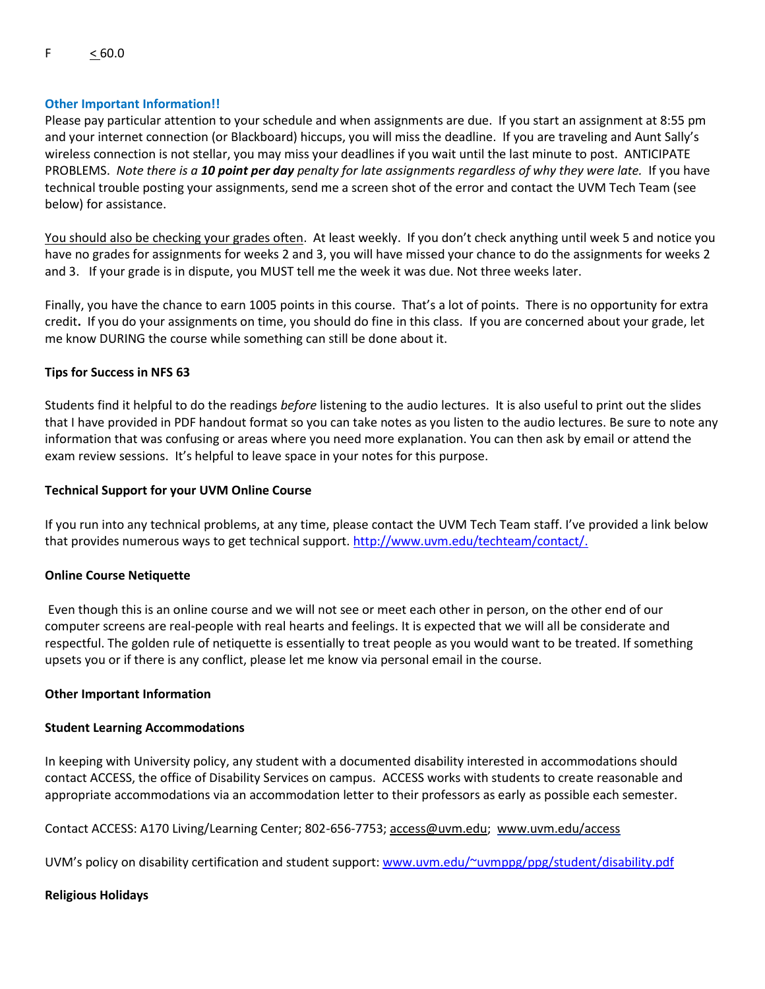### **Other Important Information!!**

Please pay particular attention to your schedule and when assignments are due. If you start an assignment at 8:55 pm and your internet connection (or Blackboard) hiccups, you will miss the deadline. If you are traveling and Aunt Sally's wireless connection is not stellar, you may miss your deadlines if you wait until the last minute to post. ANTICIPATE PROBLEMS. *Note there is a 10 point per day penalty for late assignments regardless of why they were late.* If you have technical trouble posting your assignments, send me a screen shot of the error and contact the UVM Tech Team (see below) for assistance.

You should also be checking your grades often. At least weekly. If you don't check anything until week 5 and notice you have no grades for assignments for weeks 2 and 3, you will have missed your chance to do the assignments for weeks 2 and 3. If your grade is in dispute, you MUST tell me the week it was due. Not three weeks later.

Finally, you have the chance to earn 1005 points in this course. That's a lot of points. There is no opportunity for extra credit**.** If you do your assignments on time, you should do fine in this class. If you are concerned about your grade, let me know DURING the course while something can still be done about it.

### **Tips for Success in NFS 63**

Students find it helpful to do the readings *before* listening to the audio lectures. It is also useful to print out the slides that I have provided in PDF handout format so you can take notes as you listen to the audio lectures. Be sure to note any information that was confusing or areas where you need more explanation. You can then ask by email or attend the exam review sessions. It's helpful to leave space in your notes for this purpose.

#### **Technical Support for your UVM Online Course**

If you run into any technical problems, at any time, please contact the UVM Tech Team staff. I've provided a link below that provides numerous ways to get technical support. [http://www.uvm.edu/techteam/contact/.](http://www.uvm.edu/techteam/contact/)

### **Online Course Netiquette**

Even though this is an online course and we will not see or meet each other in person, on the other end of our computer screens are real-people with real hearts and feelings. It is expected that we will all be considerate and respectful. The golden rule of netiquette is essentially to treat people as you would want to be treated. If something upsets you or if there is any conflict, please let me know via personal email in the course.

#### **Other Important Information**

#### **Student Learning Accommodations**

In keeping with University policy, any student with a documented disability interested in accommodations should contact ACCESS, the office of Disability Services on campus. ACCESS works with students to create reasonable and appropriate accommodations via an accommodation letter to their professors as early as possible each semester.

Contact ACCESS: A170 Living/Learning Center; 802-656-7753; [access@uvm.edu;](mailto:access@uvm.edu) [www.uvm.edu/access](http://www.uvm.edu/access)

UVM's policy on disability certification and student support: [www.uvm.edu/~uvmppg/ppg/student/disability.pdf](http://www.uvm.edu/~uvmppg/ppg/student/disability.pdf)

#### **Religious Holidays**